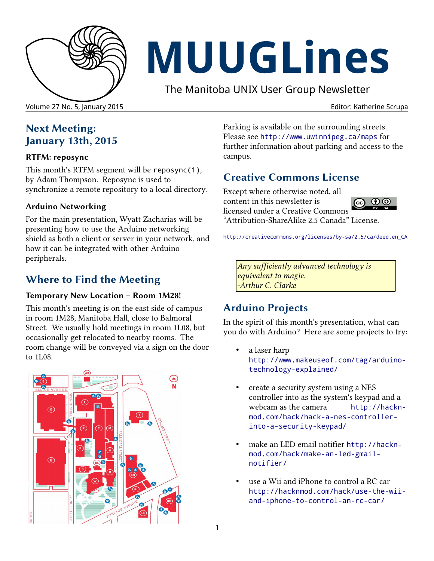

# **MUUGLines**

The Manitoba UNIX User Group Newsletter

Volume 27 No. 5, January 2015 **Editor: Katherine Scrupa** Editor: Katherine Scrupa

## **Next Meeting: January 13th, 2015**

#### **RTFM: reposync**

This month's RTFM segment will be reposync(1), by Adam Thompson. Reposync is used to synchronize a remote repository to a local directory.

#### **Arduino Networking**

For the main presentation, Wyatt Zacharias will be presenting how to use the Arduino networking shield as both a client or server in your network, and how it can be integrated with other Arduino peripherals.

## **Where to Find the Meeting**

#### **Temporary New Location – Room 1M28!**

This month's meeting is on the east side of campus in room 1M28, Manitoba Hall, close to Balmoral Street. We usually hold meetings in room 1L08, but occasionally get relocated to nearby rooms. The room change will be conveyed via a sign on the door to 1L08.



Parking is available on the surrounding streets. Please see <http://www.uwinnipeg.ca/maps> for further information about parking and access to the campus.

### **Creative Commons License**

Except where otherwise noted, all content in this newsletter is ெ 00 licensed under a Creative Commons "Attribution-ShareAlike 2.5 Canada" License.

[http://creativecommons.org/licenses/by-sa/2.5/ca/deed.en\\_CA](http://creativecommons.org/licenses/by-sa/2.5/ca/deed.en_CA)

*Any sufficiently advanced technology is equivalent to magic. -Arthur C. Clarke*

## **Arduino Projects**

In the spirit of this month's presentation, what can you do with Arduino? Here are some projects to try:

- a laser harp [http://www.makeuseof.com/tag/arduino](http://www.makeuseof.com/tag/arduino-technology-explained/)[technology-explained/](http://www.makeuseof.com/tag/arduino-technology-explained/)
- create a security system using a NES controller into as the system's keypad and a webcam as the camera [http://hackn](http://hacknmod.com/hack/hack-a-nes-controller-into-a-security-keypad/)[mod.com/hack/hack-a-nes-controller](http://hacknmod.com/hack/hack-a-nes-controller-into-a-security-keypad/)[into-a-security-keypad/](http://hacknmod.com/hack/hack-a-nes-controller-into-a-security-keypad/)
- make an LED email notifier [http://hackn](http://hacknmod.com/hack/make-an-led-gmail-notifier/)[mod.com/hack/make-an-led-gmail](http://hacknmod.com/hack/make-an-led-gmail-notifier/)[notifier/](http://hacknmod.com/hack/make-an-led-gmail-notifier/)
- use a Wii and iPhone to control a RC car [http://hacknmod.com/hack/use-the-wii](http://hacknmod.com/hack/use-the-wii-and-iphone-to-control-an-rc-car/)[and-iphone-to-control-an-rc-car/](http://hacknmod.com/hack/use-the-wii-and-iphone-to-control-an-rc-car/)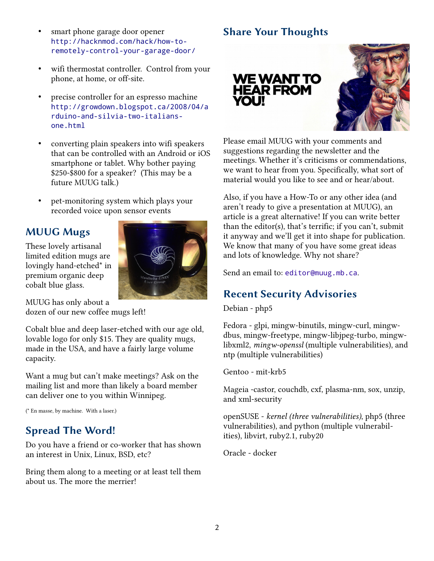- smart phone garage door opener [http://hacknmod.com/hack/how-to](http://hacknmod.com/hack/how-to-remotely-control-your-garage-door/)[remotely-control-your-garage-door/](http://hacknmod.com/hack/how-to-remotely-control-your-garage-door/)
- wifi thermostat controller. Control from your phone, at home, or off-site.
- precise controller for an espresso machine [http://growdown.blogspot.ca/2008/04/a](http://growdown.blogspot.ca/2008/04/arduino-and-silvia-two-italians-one.html) [rduino-and-silvia-two-italians](http://growdown.blogspot.ca/2008/04/arduino-and-silvia-two-italians-one.html)[one.html](http://growdown.blogspot.ca/2008/04/arduino-and-silvia-two-italians-one.html)
- converting plain speakers into wifi speakers that can be controlled with an Android or iOS smartphone or tablet. Why bother paying \$250-\$800 for a speaker? (This may be a future MUUG talk.)
- pet-monitoring system which plays your recorded voice upon sensor events

#### **MUUG Mugs**

These lovely artisanal limited edition mugs are lovingly hand-etched\* in premium organic deep cobalt blue glass.



MUUG has only about a dozen of our new coffee mugs left!

Cobalt blue and deep laser-etched with our age old, lovable logo for only \$15. They are quality mugs, made in the USA, and have a fairly large volume capacity.

Want a mug but can't make meetings? Ask on the mailing list and more than likely a board member can deliver one to you within Winnipeg.

(\* En masse, by machine. With a laser.)

#### **Spread The Word!**

Do you have a friend or co-worker that has shown an interest in Unix, Linux, BSD, etc?

Bring them along to a meeting or at least tell them about us. The more the merrier!

#### **Share Your Thoughts**





Please email MUUG with your comments and suggestions regarding the newsletter and the meetings. Whether it's criticisms or commendations, we want to hear from you. Specifically, what sort of material would you like to see and or hear/about.

Also, if you have a How-To or any other idea (and aren't ready to give a presentation at MUUG), an article is a great alternative! If you can write better than the editor(s), that's terrific; if you can't, submit it anyway and we'll get it into shape for publication. We know that many of you have some great ideas and lots of knowledge. Why not share?

Send an email to: editor@muug.mb.ca.

#### **Recent Security Advisories**

Debian - php5

Fedora - glpi, mingw-binutils, mingw-curl, mingwdbus, mingw-freetype, mingw-libjpeg-turbo, mingwlibxml2, *mingw-openssl* (multiple vulnerabilities), and ntp (multiple vulnerabilities)

Gentoo - mit-krb5

Mageia -castor, couchdb, cxf, plasma-nm, sox, unzip, and xml-security

openSUSE - *kernel (three vulnerabilities)*, php5 (three vulnerabilities), and python (multiple vulnerabilities), libvirt, ruby2.1, ruby20

Oracle - docker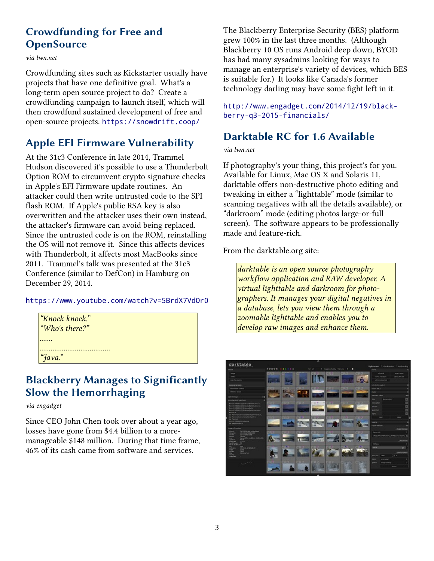#### **Crowdfunding for Free and OpenSource**

*via lwn.net*

Crowdfunding sites such as Kickstarter usually have projects that have one definitive goal. What's a long-term open source project to do? Create a crowdfunding campaign to launch itself, which will then crowdfund sustained development of free and open-source projects. <https://snowdrift.coop/>

#### **Apple EFI Firmware Vulnerability**

At the 31c3 Conference in late 2014, Trammel Hudson discovered it's possible to use a Thunderbolt Option ROM to circumvent crypto signature checks in Apple's EFI Firmware update routines. An attacker could then write untrusted code to the SPI flash ROM. If Apple's public RSA key is also overwritten and the attacker uses their own instead, the attacker's firmware can avoid being replaced. Since the untrusted code is on the ROM, reinstalling the OS will not remove it. Since this affects devices with Thunderbolt, it affects most MacBooks since 2011. Trammel's talk was presented at the 31c3 Conference (similar to DefCon) in Hamburg on December 29, 2014.

#### <https://www.youtube.com/watch?v=5BrdX7VdOr0>

| "Knock knock." |
|----------------|
| "Who's there?" |
|                |
|                |
| "Java."        |

#### **Blackberry Manages to Significantly Slow the Hemorrhaging**

*via engadget*

Since CEO John Chen took over about a year ago, losses have gone from \$4.4 billion to a moremanageable \$148 million. During that time frame, 46% of its cash came from software and services.

The Blackberry Enterprise Security (BES) platform grew 100% in the last three months. (Although Blackberry 10 OS runs Android deep down, BYOD has had many sysadmins looking for ways to manage an enterprise's variety of devices, which BES is suitable for.) It looks like Canada's former technology darling may have some fight left in it.

[http://www.engadget.com/2014/12/19/black](http://www.engadget.com/2014/12/19/blackberry-q3-2015-financials/)[berry-q3-2015-financials/](http://www.engadget.com/2014/12/19/blackberry-q3-2015-financials/)

### **Darktable RC for 1.6 Available**

*via lwn.net*

If photography's your thing, this project's for you. Available for Linux, Mac OS X and Solaris 11, darktable offers non-destructive photo editing and tweaking in either a "lighttable" mode (similar to scanning negatives with all the details available), or "darkroom" mode (editing photos large-or-full screen). The software appears to be professionally made and feature-rich.

From the darktable.org site:

*darktable is an open source photography workflow application and RAW developer. A virtual lighttable and darkroom for photographers. It manages your digital negatives in a database, lets you view them through a zoomable lighttable and enables you to develop raw images and enhance them.*